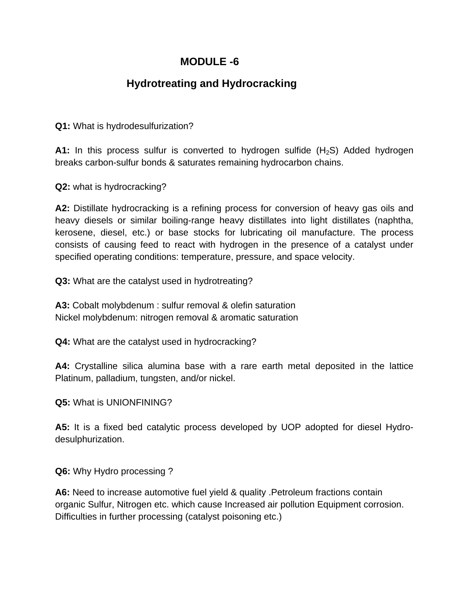## **MODULE -6**

## **Hydrotreating and Hydrocracking**

**Q1:** What is hydrodesulfurization?

**A1:** In this process sulfur is converted to hydrogen sulfide  $(H_2S)$  Added hydrogen breaks carbon-sulfur bonds & saturates remaining hydrocarbon chains.

**Q2:** what is hydrocracking?

**A2:** Distillate hydrocracking is a refining process for conversion of heavy gas oils and heavy diesels or similar boiling-range heavy distillates into light distillates (naphtha, kerosene, diesel, etc.) or base stocks for lubricating oil manufacture. The process consists of causing feed to react with hydrogen in the presence of a catalyst under specified operating conditions: temperature, pressure, and space velocity.

**Q3:** What are the catalyst used in hydrotreating?

**A3:** Cobalt molybdenum : sulfur removal & olefin saturation Nickel molybdenum: nitrogen removal & aromatic saturation

**Q4:** What are the catalyst used in hydrocracking?

**A4:** Crystalline silica alumina base with a rare earth metal deposited in the lattice Platinum, palladium, tungsten, and/or nickel.

**Q5:** What is UNIONFINING?

**A5:** It is a fixed bed catalytic process developed by UOP adopted for diesel Hydrodesulphurization.

**Q6:** Why Hydro processing ?

**A6:** Need to increase automotive fuel yield & quality .Petroleum fractions contain organic Sulfur, Nitrogen etc. which cause Increased air pollution Equipment corrosion. Difficulties in further processing (catalyst poisoning etc.)